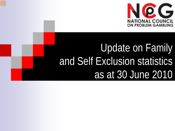

# Update on Family and Self Exclusion statistics as at 30 June 2010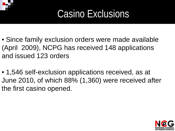## Casino Exclusions

- Since family exclusion orders were made available (April 2009), NCPG has received 148 applications and issued 123 orders
- 1,546 self-exclusion applications received, as at June 2010, of which 88% (1,360) were received after the first casino opened.

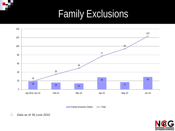# Family Exclusions



Family Exclusion Orders - Total

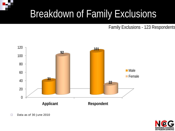Family Exclusions - 123 Respondents



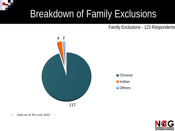Family Exclusions - 123 Respondents



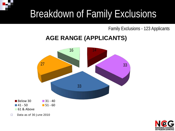#### Family Exclusions - 123 Applicants

#### **AGE RANGE (APPLICANTS)**



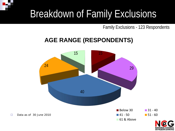Family Exclusions - 123 Respondents

### **AGE RANGE (RESPONDENTS)**



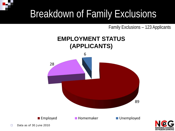Family Exclusions – 123 Applicants

### **EMPLOYMENT STATUS (APPLICANTS)**



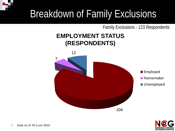#### Family Exclusions - 123 Respondents

#### **EMPLOYMENT STATUS (RESPONDENTS)**



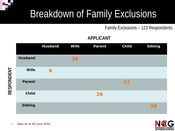Family Exclusions – 123 Respondents

#### **APPLICANT**

|                | <b>Husband</b> | <b>Wife</b> | <b>Parent</b> | <b>Child</b> | <b>Sibling</b> |
|----------------|----------------|-------------|---------------|--------------|----------------|
| <b>Husband</b> |                | 38          |               |              |                |
| <b>Wife</b>    | 6              |             |               |              |                |
| <b>Parent</b>  |                |             |               | 27           |                |
| <b>Child</b>   |                |             | 26            |              |                |
| <b>Sibling</b> |                |             |               |              | 26             |



**RESPONDENT**

RESPONDENT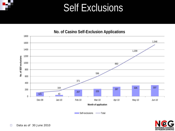### Self Exclusions

#### **No. of Casino Self-Exclusion Applications**



Self-exclusions - Total

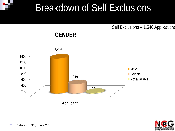Self Exclusions – 1,546 Applications

#### **GENDER**



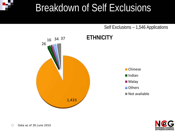Self Exclusions – 1,546 Applications



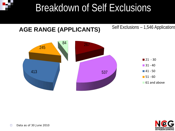

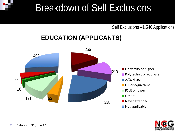#### Self Exclusions –1,546 Applications

### **EDUCATION (APPLICANTS)**